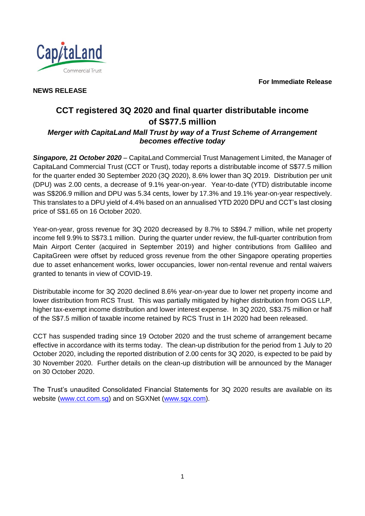**For Immediate Release**



**NEWS RELEASE** 

# **CCT registered 3Q 2020 and final quarter distributable income of S\$77.5 million**

# *Merger with CapitaLand Mall Trust by way of a Trust Scheme of Arrangement becomes effective today*

*Singapore, 21 October 2020* – CapitaLand Commercial Trust Management Limited, the Manager of CapitaLand Commercial Trust (CCT or Trust), today reports a distributable income of S\$77.5 million for the quarter ended 30 September 2020 (3Q 2020), 8.6% lower than 3Q 2019. Distribution per unit (DPU) was 2.00 cents, a decrease of 9.1% year-on-year. Year-to-date (YTD) distributable income was S\$206.9 million and DPU was 5.34 cents, lower by 17.3% and 19.1% year-on-year respectively. This translates to a DPU yield of 4.4% based on an annualised YTD 2020 DPU and CCT's last closing price of S\$1.65 on 16 October 2020.

Year-on-year, gross revenue for 3Q 2020 decreased by 8.7% to S\$94.7 million, while net property income fell 9.9% to S\$73.1 million. During the quarter under review, the full-quarter contribution from Main Airport Center (acquired in September 2019) and higher contributions from Gallileo and CapitaGreen were offset by reduced gross revenue from the other Singapore operating properties due to asset enhancement works, lower occupancies, lower non-rental revenue and rental waivers granted to tenants in view of COVID-19.

Distributable income for 3Q 2020 declined 8.6% year-on-year due to lower net property income and lower distribution from RCS Trust. This was partially mitigated by higher distribution from OGS LLP, higher tax-exempt income distribution and lower interest expense. In 3Q 2020, S\$3.75 million or half of the S\$7.5 million of taxable income retained by RCS Trust in 1H 2020 had been released.

CCT has suspended trading since 19 October 2020 and the trust scheme of arrangement became effective in accordance with its terms today. The clean-up distribution for the period from 1 July to 20 October 2020, including the reported distribution of 2.00 cents for 3Q 2020, is expected to be paid by 30 November 2020. Further details on the clean-up distribution will be announced by the Manager on 30 October 2020.

The Trust's unaudited Consolidated Financial Statements for 3Q 2020 results are available on its website [\(www.cct.com.sg\)](http://www.cct.com.sg/) and on SGXNet [\(www.sgx.com\)](http://www.sgx.com/).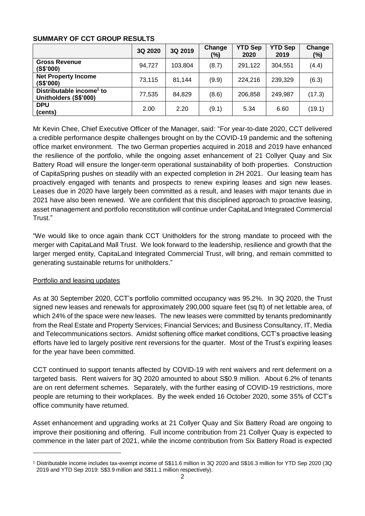### **SUMMARY OF CCT GROUP RESULTS**

|                                                               | 3Q 2020 | 3Q 2019 | Change<br>(%) | <b>YTD Sep</b><br>2020 | <b>YTD Sep</b><br>2019 | Change<br>$(\%)$ |
|---------------------------------------------------------------|---------|---------|---------------|------------------------|------------------------|------------------|
| <b>Gross Revenue</b><br>(S\$'000)                             | 94,727  | 103,804 | (8.7)         | 291,122                | 304.551                | (4.4)            |
| <b>Net Property Income</b><br>(S\$'000)                       | 73,115  | 81,144  | (9.9)         | 224,216                | 239,329                | (6.3)            |
| Distributable income <sup>1</sup> to<br>Unitholders (S\$'000) | 77,535  | 84,829  | (8.6)         | 206,858                | 249,987                | (17.3)           |
| <b>DPU</b><br>(cents)                                         | 2.00    | 2.20    | (9.1)         | 5.34                   | 6.60                   | (19.1)           |

Mr Kevin Chee, Chief Executive Officer of the Manager, said: "For year-to-date 2020, CCT delivered a credible performance despite challenges brought on by the COVID-19 pandemic and the softening office market environment. The two German properties acquired in 2018 and 2019 have enhanced the resilience of the portfolio, while the ongoing asset enhancement of 21 Collyer Quay and Six Battery Road will ensure the longer-term operational sustainability of both properties. Construction of CapitaSpring pushes on steadily with an expected completion in 2H 2021. Our leasing team has proactively engaged with tenants and prospects to renew expiring leases and sign new leases. Leases due in 2020 have largely been committed as a result, and leases with major tenants due in 2021 have also been renewed. We are confident that this disciplined approach to proactive leasing, asset management and portfolio reconstitution will continue under CapitaLand Integrated Commercial Trust."

"We would like to once again thank CCT Unitholders for the strong mandate to proceed with the merger with CapitaLand Mall Trust. We look forward to the leadership, resilience and growth that the larger merged entity, CapitaLand Integrated Commercial Trust, will bring, and remain committed to generating sustainable returns for unitholders."

# Portfolio and leasing updates

l

As at 30 September 2020, CCT's portfolio committed occupancy was 95.2%. In 3Q 2020, the Trust signed new leases and renewals for approximately 290,000 square feet (sq ft) of net lettable area, of which 24% of the space were new leases. The new leases were committed by tenants predominantly from the Real Estate and Property Services; Financial Services; and Business Consultancy, IT, Media and Telecommunications sectors. Amidst softening office market conditions, CCT's proactive leasing efforts have led to largely positive rent reversions for the quarter. Most of the Trust's expiring leases for the year have been committed.

CCT continued to support tenants affected by COVID-19 with rent waivers and rent deferment on a targeted basis. Rent waivers for 3Q 2020 amounted to about S\$0.9 million. About 6.2% of tenants are on rent deferment schemes. Separately, with the further easing of COVID-19 restrictions, more people are returning to their workplaces. By the week ended 16 October 2020, some 35% of CCT's office community have returned.

Asset enhancement and upgrading works at 21 Collyer Quay and Six Battery Road are ongoing to improve their positioning and offering. Full income contribution from 21 Collyer Quay is expected to commence in the later part of 2021, while the income contribution from Six Battery Road is expected

<sup>1</sup> Distributable income includes tax-exempt income of S\$11.6 million in 3Q 2020 and S\$16.3 million for YTD Sep 2020 (3Q 2019 and YTD Sep 2019: S\$3.9 million and S\$11.1 million respectively).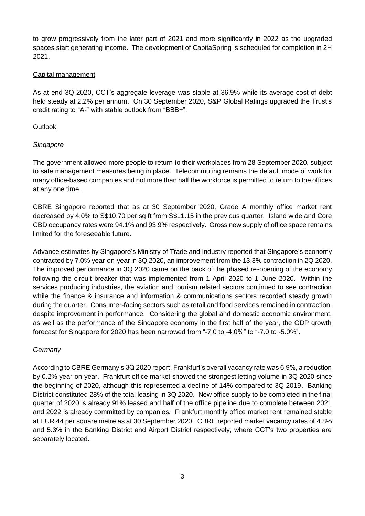to grow progressively from the later part of 2021 and more significantly in 2022 as the upgraded spaces start generating income. The development of CapitaSpring is scheduled for completion in 2H 2021.

#### Capital management

As at end 3Q 2020, CCT's aggregate leverage was stable at 36.9% while its average cost of debt held steady at 2.2% per annum. On 30 September 2020, S&P Global Ratings upgraded the Trust's credit rating to "A-" with stable outlook from "BBB+".

### **Outlook**

### *Singapore*

The government allowed more people to return to their workplaces from 28 September 2020, subject to safe management measures being in place. Telecommuting remains the default mode of work for many office-based companies and not more than half the workforce is permitted to return to the offices at any one time.

CBRE Singapore reported that as at 30 September 2020, Grade A monthly office market rent decreased by 4.0% to S\$10.70 per sq ft from S\$11.15 in the previous quarter. Island wide and Core CBD occupancy rates were 94.1% and 93.9% respectively. Gross new supply of office space remains limited for the foreseeable future.

Advance estimates by Singapore's Ministry of Trade and Industry reported that Singapore's economy contracted by 7.0% year-on-year in 3Q 2020, an improvement from the 13.3% contraction in 2Q 2020. The improved performance in 3Q 2020 came on the back of the phased re-opening of the economy following the circuit breaker that was implemented from 1 April 2020 to 1 June 2020. Within the services producing industries, the aviation and tourism related sectors continued to see contraction while the finance & insurance and information & communications sectors recorded steady growth during the quarter. Consumer-facing sectors such as retail and food services remained in contraction, despite improvement in performance. Considering the global and domestic economic environment, as well as the performance of the Singapore economy in the first half of the year, the GDP growth forecast for Singapore for 2020 has been narrowed from "-7.0 to -4.0%" to "-7.0 to -5.0%".

# *Germany*

According to CBRE Germany's 3Q 2020 report, Frankfurt's overall vacancy rate was 6.9%, a reduction by 0.2% year-on-year. Frankfurt office market showed the strongest letting volume in 3Q 2020 since the beginning of 2020, although this represented a decline of 14% compared to 3Q 2019. Banking District constituted 28% of the total leasing in 3Q 2020. New office supply to be completed in the final quarter of 2020 is already 91% leased and half of the office pipeline due to complete between 2021 and 2022 is already committed by companies. Frankfurt monthly office market rent remained stable at EUR 44 per square metre as at 30 September 2020. CBRE reported market vacancy rates of 4.8% and 5.3% in the Banking District and Airport District respectively, where CCT's two properties are separately located.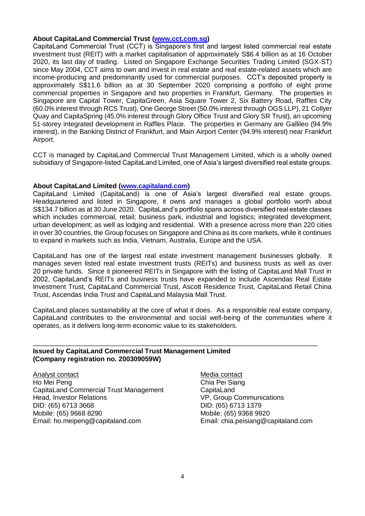#### **About CapitaLand Commercial Trust [\(www.cct.com.sg\)](file:///D:/Users/homeipeng/AppData/Local/Microsoft/Windows/Temporary%20Internet%20Files/Content.Outlook/P5NL80E6/www.cct.com.sg)**

CapitaLand Commercial Trust (CCT) is Singapore's first and largest listed commercial real estate investment trust (REIT) with a market capitalisation of approximately S\$6.4 billion as at 16 October 2020, its last day of trading. Listed on Singapore Exchange Securities Trading Limited (SGX-ST) since May 2004, CCT aims to own and invest in real estate and real estate-related assets which are income-producing and predominantly used for commercial purposes. CCT's deposited property is approximately S\$11.6 billion as at 30 September 2020 comprising a portfolio of eight prime commercial properties in Singapore and two properties in Frankfurt, Germany. The properties in Singapore are Capital Tower, CapitaGreen, Asia Square Tower 2, Six Battery Road, Raffles City (60.0% interest through RCS Trust), One George Street (50.0% interest through OGS LLP), 21 Collyer Quay and CapitaSpring (45.0% interest through Glory Office Trust and Glory SR Trust), an upcoming 51-storey integrated development in Raffles Place. The properties in Germany are Gallileo (94.9% interest), in the Banking District of Frankfurt, and Main Airport Center (94.9% interest) near Frankfurt Airport.

CCT is managed by CapitaLand Commercial Trust Management Limited, which is a wholly owned subsidiary of Singapore-listed CapitaLand Limited, one of Asia's largest diversified real estate groups.

#### **About CapitaLand Limited [\(www.capitaland.com\)](file:///D:/Users/homeipeng/AppData/Local/Microsoft/Windows/INetCache/Content.Outlook/7K5RF13A/www.capitaland.com)**

CapitaLand Limited (CapitaLand) is one of Asia's largest diversified real estate groups. Headquartered and listed in Singapore, it owns and manages a global portfolio worth about S\$134.7 billion as at 30 June 2020. CapitaLand's portfolio spans across diversified real estate classes which includes commercial, retail: business park, industrial and logistics; integrated development, urban development; as well as lodging and residential. With a presence across more than 220 cities in over 30 countries, the Group focuses on Singapore and China as its core markets, while it continues to expand in markets such as India, Vietnam, Australia, Europe and the USA.

CapitaLand has one of the largest real estate investment management businesses globally. It manages seven listed real estate investment trusts (REITs) and business trusts as well as over 20 private funds. Since it pioneered REITs in Singapore with the listing of CapitaLand Mall Trust in 2002, CapitaLand's REITs and business trusts have expanded to include Ascendas Real Estate Investment Trust, CapitaLand Commercial Trust, Ascott Residence Trust, CapitaLand Retail China Trust, Ascendas India Trust and CapitaLand Malaysia Mall Trust.

CapitaLand places sustainability at the core of what it does. As a responsible real estate company, CapitaLand contributes to the environmental and social well-being of the communities where it operates, as it delivers long-term economic value to its stakeholders.

\_\_\_\_\_\_\_\_\_\_\_\_\_\_\_\_\_\_\_\_\_\_\_\_\_\_\_\_\_\_\_\_\_\_\_\_\_\_\_\_\_\_\_\_\_\_\_\_\_\_\_\_\_\_\_\_\_\_\_\_\_\_\_\_\_\_\_\_\_\_\_\_\_\_\_\_

#### **Issued by CapitaLand Commercial Trust Management Limited (Company registration no. 200309059W)**

Analyst contact Ho Mei Peng CapitaLand Commercial Trust Management Head, Investor Relations DID: (65) 6713 3668 Mobile: (65) 9668 8290 Email: ho.meipeng@capitaland.com

Media contact Chia Pei Siang **CapitaLand** VP, Group Communications DID: (65) 6713 1379 Mobile: (65) 9368 9920 Email: chia.peisiang@capitaland.com